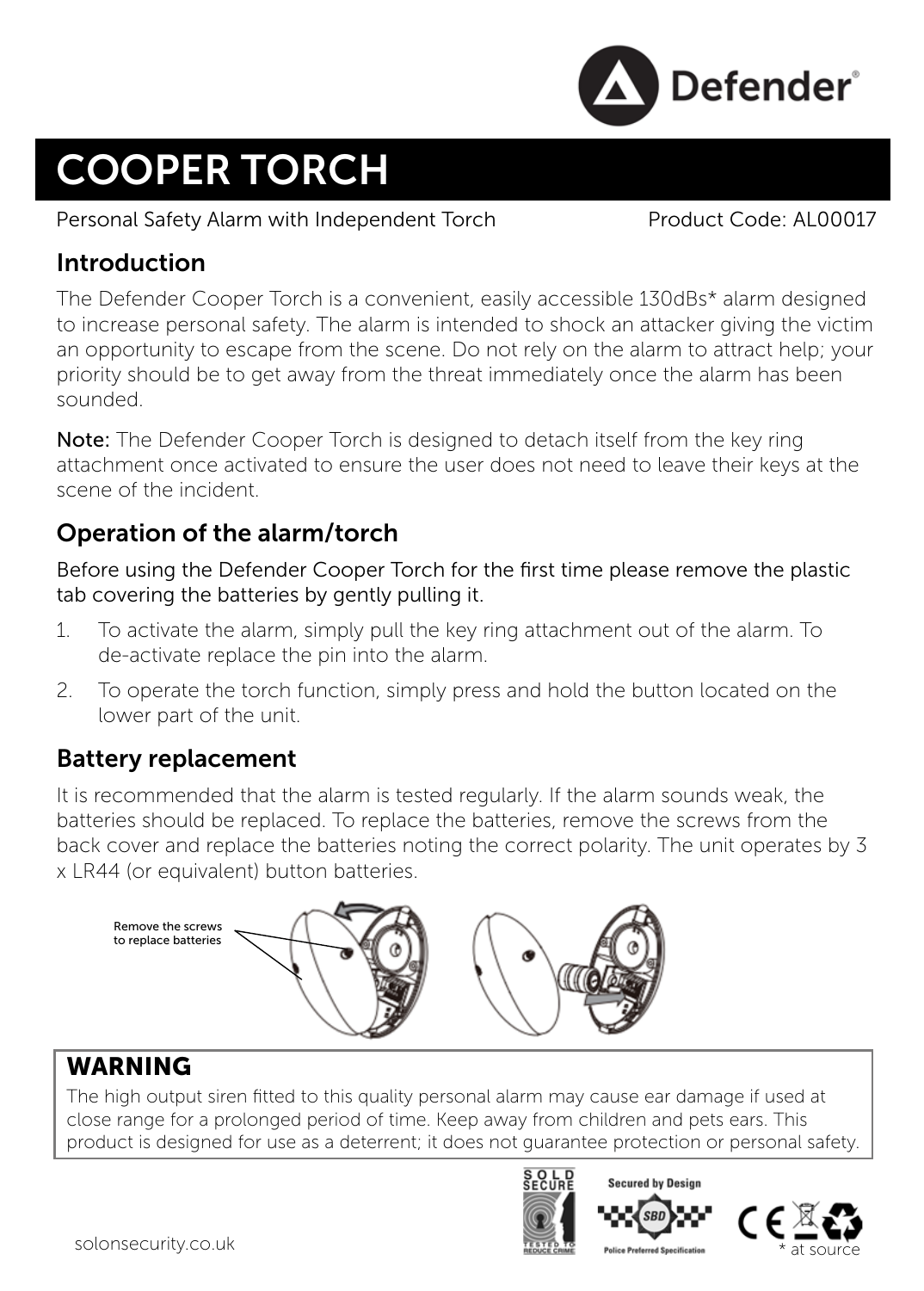

# COOPER TORCH

Personal Safety Alarm with Independent Torch Product Code: AL00017

## Introduction

The Defender Cooper Torch is a convenient, easily accessible 130dBs\* alarm designed to increase personal safety. The alarm is intended to shock an attacker giving the victim an opportunity to escape from the scene. Do not rely on the alarm to attract help; your priority should be to get away from the threat immediately once the alarm has been sounded.

Note: The Defender Cooper Torch is designed to detach itself from the key ring attachment once activated to ensure the user does not need to leave their keys at the scene of the incident.

# Operation of the alarm/torch

Before using the Defender Cooper Torch for the first time please remove the plastic tab covering the batteries by gently pulling it.

- 1. To activate the alarm, simply pull the key ring attachment out of the alarm. To de-activate replace the pin into the alarm.
- 2. To operate the torch function, simply press and hold the button located on the lower part of the unit.

## Battery replacement

It is recommended that the alarm is tested regularly. If the alarm sounds weak, the batteries should be replaced. To replace the batteries, remove the screws from the back cover and replace the batteries noting the correct polarity. The unit operates by 3 x LR44 (or equivalent) button batteries.



## **WARNING**

The high output siren fitted to this quality personal alarm may cause ear damage if used at close range for a prolonged period of time. Keep away from children and pets ears. This product is designed for use as a deterrent; it does not guarantee protection or personal safety.